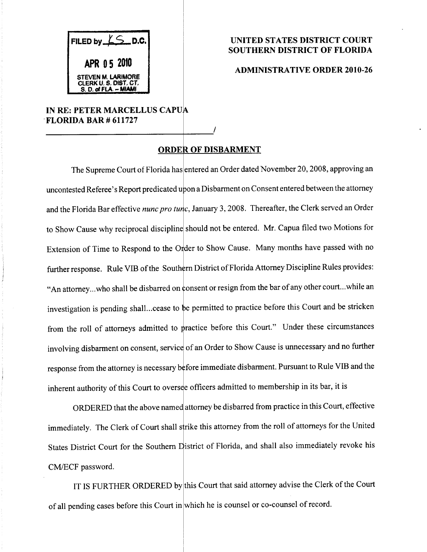FILED by  $LS$  D.C. APR 0 5 2010 STEVEN M. LARIMORE CLERK U.S.DIST,CT, S.D. of FLA,-MIAMI

## UNITED STATES DISTRICT COURT SOUTHERN DISTRICT OF FLORIDA

## ADMINISTRATIVE ORDER 2010-26

## IN RE: PETER MARCELLUS CAPUA FLORIDA BAR # 611727

## ORDER OF DISBARMENT

The Supreme Court of Florida has entered an Order dated November 20,2008, approving an uncontested Referee's Report predicated upon a Disbarment on Consent entered between the attorney and the Florida Bar effective nunc pro tunc, January 3, 2008. Thereafter, the Clerk served an Order to Show Cause why reciprocal discipline should not be entered. Mr. Capua filed two Motions for  $A_n$  attorney...who shall be disbarred on consent or resign from the bar of any other court...while an Extension of Time to Respond to the Order to Show Cause. Many months have passed with no further response. Rule VIB of the Southern District of Florida Attorney Discipline Rules provides: investigation is pending shall...cease to be permitted to practice before this Court and be stricken from the roll of attorneys admitted to practice before this Court." Under these circumstances involving disbarment on consent, service of an Order to Show Cause is unnecessary and no further response from the attorney is necessary before immediate disbarment. Pursuant to Rule VIB and the inherent authority of this Court to oversee officers admitted to membership in its bar, it is

ORDERED that the above named attorney be disbarred from practice in this Court, effective immediately. The Clerk of Court shall strike this attorney from the roll of attorneys for the United States District Court for the Southern District of Florida, and shall also immediately revoke his CM/ECF password.

IT IS FURTHER ORDERED by this Court that said attorney advise the Clerk of the Court of all pending cases before this Court in which he is counsel or co-counsel of record.